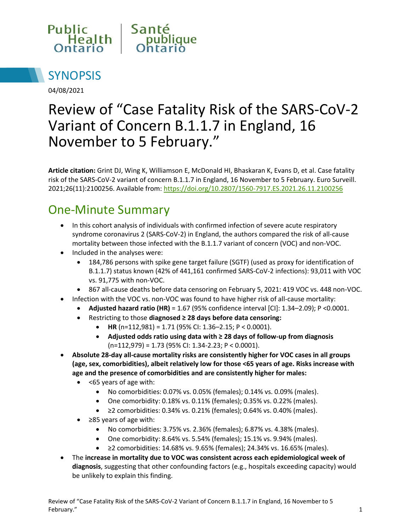



04/08/2021

# Review of "Case Fatality Risk of the SARS-CoV-2 Variant of Concern B.1.1.7 in England, 16 November to 5 February."

**Article citation:** Grint DJ, Wing K, Williamson E, McDonald HI, Bhaskaran K, Evans D, et al. Case fatality risk of the SARS-CoV-2 variant of concern B.1.1.7 in England, 16 November to 5 February. Euro Surveill. 2021;26(11):2100256. Available from:<https://doi.org/10.2807/1560-7917.ES.2021.26.11.2100256>

## One-Minute Summary

- In this cohort analysis of individuals with confirmed infection of severe acute respiratory syndrome coronavirus 2 (SARS-CoV-2) in England, the authors compared the risk of all-cause mortality between those infected with the B.1.1.7 variant of concern (VOC) and non-VOC.
- Included in the analyses were:
	- 184,786 persons with spike gene target failure (SGTF) (used as proxy for identification of B.1.1.7) status known (42% of 441,161 confirmed SARS-CoV-2 infections): 93,011 with VOC vs. 91,775 with non-VOC.
	- 867 all-cause deaths before data censoring on February 5, 2021: 419 VOC vs. 448 non-VOC.
- Infection with the VOC vs. non-VOC was found to have higher risk of all-cause mortality:
	- **Adjusted hazard ratio (HR)** = 1.67 (95% confidence interval [CI]: 1.34–2.09); P <0.0001.
	- Restricting to those **diagnosed ≥ 28 days before data censoring:**
		- **HR** (n=112,981) = 1.71 (95% CI: 1.36–2.15; P < 0.0001).
			- **Adjusted odds ratio using data with ≥ 28 days of follow-up from diagnosis** (n=112,979) = 1.73 (95% CI: 1.34-2.23; P < 0.0001).
- **Absolute 28-day all-cause mortality risks are consistently higher for VOC cases in all groups (age, sex, comorbidities), albeit relatively low for those <65 years of age. Risks increase with age and the presence of comorbidities and are consistently higher for males:**
	- <65 years of age with:
		- No comorbidities: 0.07% vs. 0.05% (females); 0.14% vs. 0.09% (males).
		- One comorbidity: 0.18% vs. 0.11% (females); 0.35% vs. 0.22% (males).
		- ≥2 comorbidities: 0.34% vs. 0.21% (females); 0.64% vs. 0.40% (males).
	- ≥85 years of age with:
		- No comorbidities: 3.75% vs. 2.36% (females); 6.87% vs. 4.38% (males).
		- One comorbidity: 8.64% vs. 5.54% (females); 15.1% vs. 9.94% (males).
		- ≥2 comorbidities: 14.68% vs. 9.65% (females); 24.34% vs. 16.65% (males).
- The **increase in mortality due to VOC was consistent across each epidemiological week of diagnosis**, suggesting that other confounding factors (e.g., hospitals exceeding capacity) would be unlikely to explain this finding.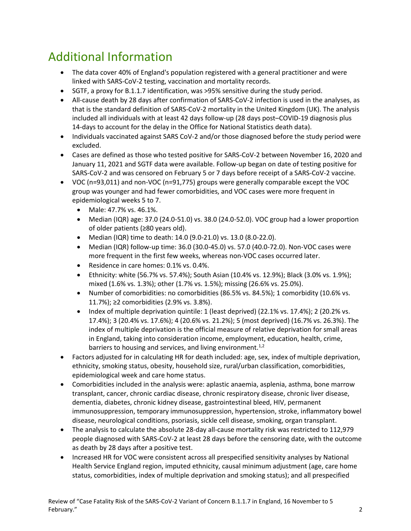## Additional Information

- The data cover 40% of England's population registered with a general practitioner and were linked with SARS-CoV-2 testing, vaccination and mortality records.
- SGTF, a proxy for B.1.1.7 identification, was >95% sensitive during the study period.
- All-cause death by 28 days after confirmation of SARS-CoV-2 infection is used in the analyses, as that is the standard definition of SARS-CoV-2 mortality in the United Kingdom (UK). The analysis included all individuals with at least 42 days follow-up (28 days post–COVID-19 diagnosis plus 14-days to account for the delay in the Office for National Statistics death data).
- Individuals vaccinated against SARS CoV-2 and/or those diagnosed before the study period were excluded.
- Cases are defined as those who tested positive for SARS-CoV-2 between November 16, 2020 and January 11, 2021 and SGTF data were available. Follow-up began on date of testing positive for SARS-CoV-2 and was censored on February 5 or 7 days before receipt of a SARS-CoV-2 vaccine.
- VOC (n=93,011) and non-VOC (n=91,775) groups were generally comparable except the VOC group was younger and had fewer comorbidities, and VOC cases were more frequent in epidemiological weeks 5 to 7.
	- Male: 47.7% vs. 46.1%.
	- Median (IQR) age: 37.0 (24.0-51.0) vs. 38.0 (24.0-52.0). VOC group had a lower proportion of older patients (≥80 years old).
	- Median (IQR) time to death: 14.0 (9.0-21.0) vs. 13.0 (8.0-22.0).
	- Median (IQR) follow-up time: 36.0 (30.0-45.0) vs. 57.0 (40.0-72.0). Non-VOC cases were more frequent in the first few weeks, whereas non-VOC cases occurred later.
	- Residence in care homes: 0.1% vs. 0.4%.
	- Ethnicity: white (56.7% vs. 57.4%); South Asian (10.4% vs. 12.9%); Black (3.0% vs. 1.9%); mixed (1.6% vs. 1.3%); other (1.7% vs. 1.5%); missing (26.6% vs. 25.0%).
	- Number of comorbidities: no comorbidities (86.5% vs. 84.5%); 1 comorbidity (10.6% vs. 11.7%); ≥2 comorbidities (2.9% vs. 3.8%).
	- $\bullet$  Index of multiple deprivation quintile: 1 (least deprived) (22.1% vs. 17.4%); 2 (20.2% vs. 17.4%); 3 (20.4% vs. 17.6%); 4 (20.6% vs. 21.2%); 5 (most deprived) (16.7% vs. 26.3%). The index of multiple deprivation is the official measure of relative deprivation for small areas in England, taking into consideration income, employment, education, health, crime, barriers to housing and services, and living environment. $1,2$
- Factors adjusted for in calculating HR for death included: age, sex, index of multiple deprivation, ethnicity, smoking status, obesity, household size, rural/urban classification, comorbidities, epidemiological week and care home status.
- Comorbidities included in the analysis were: aplastic anaemia, asplenia, asthma, bone marrow transplant, cancer, chronic cardiac disease, chronic respiratory disease, chronic liver disease, dementia, diabetes, chronic kidney disease, gastrointestinal bleed, HIV, permanent immunosuppression, temporary immunosuppression, hypertension, stroke, inflammatory bowel disease, neurological conditions, psoriasis, sickle cell disease, smoking, organ transplant.
- The analysis to calculate the absolute 28-day all-cause mortality risk was restricted to 112,979 people diagnosed with SARS-CoV-2 at least 28 days before the censoring date, with the outcome as death by 28 days after a positive test.
- Increased HR for VOC were consistent across all prespecified sensitivity analyses by National Health Service England region, imputed ethnicity, causal minimum adjustment (age, care home status, comorbidities, index of multiple deprivation and smoking status); and all prespecified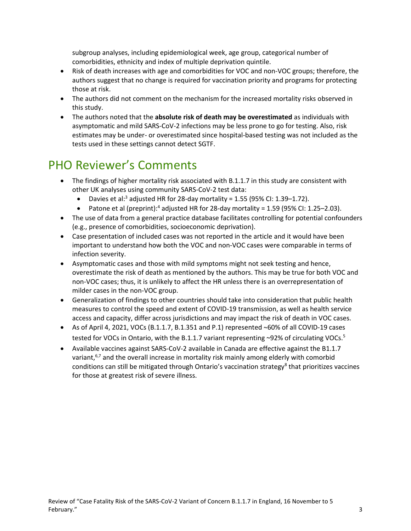subgroup analyses, including epidemiological week, age group, categorical number of comorbidities, ethnicity and index of multiple deprivation quintile.

- Risk of death increases with age and comorbidities for VOC and non-VOC groups; therefore, the authors suggest that no change is required for vaccination priority and programs for protecting those at risk.
- The authors did not comment on the mechanism for the increased mortality risks observed in this study.
- The authors noted that the **absolute risk of death may be overestimated** as individuals with asymptomatic and mild SARS-CoV-2 infections may be less prone to go for testing. Also, risk estimates may be under- or overestimated since hospital-based testing was not included as the tests used in these settings cannot detect SGTF.

#### PHO Reviewer's Comments

- The findings of higher mortality risk associated with B.1.1.7 in this study are consistent with other UK analyses using community SARS-CoV-2 test data:
	- Davies et al:<sup>3</sup> adjusted HR for 28-day mortality = 1.55 (95% CI: 1.39-1.72).
	- Patone et al (preprint):<sup>4</sup> adjusted HR for 28-day mortality = 1.59 (95% CI: 1.25–2.03).
- The use of data from a general practice database facilitates controlling for potential confounders (e.g., presence of comorbidities, socioeconomic deprivation).
- Case presentation of included cases was not reported in the article and it would have been important to understand how both the VOC and non-VOC cases were comparable in terms of infection severity.
- Asymptomatic cases and those with mild symptoms might not seek testing and hence, overestimate the risk of death as mentioned by the authors. This may be true for both VOC and non-VOC cases; thus, it is unlikely to affect the HR unless there is an overrepresentation of milder cases in the non-VOC group.
- Generalization of findings to other countries should take into consideration that public health measures to control the speed and extent of COVID-19 transmission, as well as health service access and capacity, differ across jurisdictions and may impact the risk of death in VOC cases.
- As of April 4, 2021, VOCs (B.1.1.7, B.1.351 and P.1) represented ~60% of all COVID-19 cases tested for VOCs in Ontario, with the B.1.1.7 variant representing ~92% of circulating VOCs.<sup>5</sup>
- Available vaccines against SARS-CoV-2 available in Canada are effective against the B1.1.7 variant, $6,7$  and the overall increase in mortality risk mainly among elderly with comorbid conditions can still be mitigated through Ontario's vaccination strategy<sup>8</sup> that prioritizes vaccines for those at greatest risk of severe illness.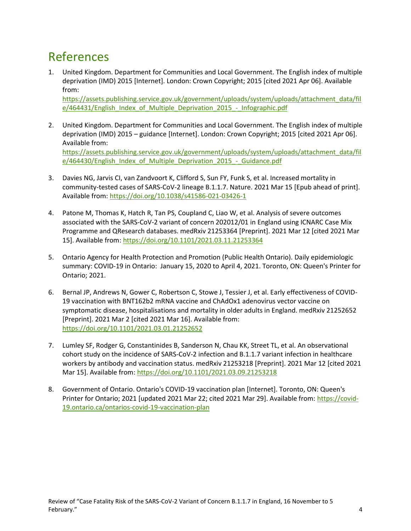#### References

1. United Kingdom. Department for Communities and Local Government. The English index of multiple deprivation (IMD) 2015 [Internet]. London: Crown Copyright; 2015 [cited 2021 Apr 06]. Available from:

[https://assets.publishing.service.gov.uk/government/uploads/system/uploads/attachment\\_data/fil](https://assets.publishing.service.gov.uk/government/uploads/system/uploads/attachment_data/file/464431/English_Index_of_Multiple_Deprivation_2015_-_Infographic.pdf) [e/464431/English\\_Index\\_of\\_Multiple\\_Deprivation\\_2015\\_-\\_Infographic.pdf](https://assets.publishing.service.gov.uk/government/uploads/system/uploads/attachment_data/file/464431/English_Index_of_Multiple_Deprivation_2015_-_Infographic.pdf)

- 2. United Kingdom. Department for Communities and Local Government. The English index of multiple deprivation (IMD) 2015 – guidance [Internet]. London: Crown Copyright; 2015 [cited 2021 Apr 06]. Available from: [https://assets.publishing.service.gov.uk/government/uploads/system/uploads/attachment\\_data/fil](https://assets.publishing.service.gov.uk/government/uploads/system/uploads/attachment_data/file/464430/English_Index_of_Multiple_Deprivation_2015_-_Guidance.pdf) [e/464430/English\\_Index\\_of\\_Multiple\\_Deprivation\\_2015\\_-\\_Guidance.pdf](https://assets.publishing.service.gov.uk/government/uploads/system/uploads/attachment_data/file/464430/English_Index_of_Multiple_Deprivation_2015_-_Guidance.pdf)
- 3. Davies NG, Jarvis CI, van Zandvoort K, Clifford S, Sun FY, Funk S, et al. Increased mortality in community-tested cases of SARS-CoV-2 lineage B.1.1.7. Nature. 2021 Mar 15 [Epub ahead of print]. Available from[: https://doi.org/10.1038/s41586-021-03426-1](https://doi.org/10.1038/s41586-021-03426-1)
- 4. Patone M, Thomas K, Hatch R, Tan PS, Coupland C, Liao W, et al. Analysis of severe outcomes associated with the SARS-CoV-2 variant of concern 202012/01 in England using ICNARC Case Mix Programme and QResearch databases. medRxiv 21253364 [Preprint]. 2021 Mar 12 [cited 2021 Mar 15]. Available from:<https://doi.org/10.1101/2021.03.11.21253364>
- 5. Ontario Agency for Health Protection and Promotion (Public Health Ontario). Daily epidemiologic summary: COVID-19 in Ontario: January 15, 2020 to April 4, 2021. Toronto, ON: Queen's Printer for Ontario; 2021.
- 6. Bernal JP, Andrews N, Gower C, Robertson C, Stowe J, Tessier J, et al. Early effectiveness of COVID-19 vaccination with BNT162b2 mRNA vaccine and ChAdOx1 adenovirus vector vaccine on symptomatic disease, hospitalisations and mortality in older adults in England. medRxiv 21252652 [Preprint]. 2021 Mar 2 [cited 2021 Mar 16]. Available from: <https://doi.org/10.1101/2021.03.01.21252652>
- 7. Lumley SF, Rodger G, Constantinides B, Sanderson N, Chau KK, Street TL, et al. An observational cohort study on the incidence of SARS-CoV-2 infection and B.1.1.7 variant infection in healthcare workers by antibody and vaccination status. medRxiv 21253218 [Preprint]. 2021 Mar 12 [cited 2021 Mar 15]. Available from:<https://doi.org/10.1101/2021.03.09.21253218>
- 8. Government of Ontario. Ontario's COVID-19 vaccination plan [Internet]. Toronto, ON: Queen's Printer for Ontario; 2021 [updated 2021 Mar 22; cited 2021 Mar 29]. Available from: [https://covid-](https://covid-19.ontario.ca/ontarios-covid-19-vaccination-plan)[19.ontario.ca/ontarios-covid-19-vaccination-plan](https://covid-19.ontario.ca/ontarios-covid-19-vaccination-plan)